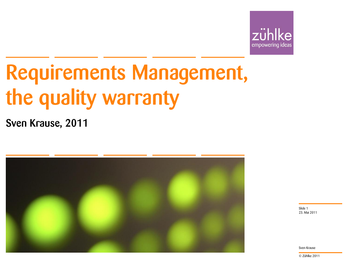

# Requirements Management, the quality warranty

Sven Krause, 2011



23. Mai 2011 Slide 1

Sven Krause

© Zühlke 2011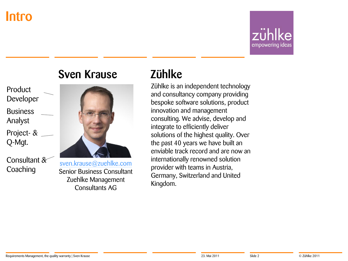#### Intro

empowering ideas

#### Sven Krause



Consultant & **Coaching** 



[sven.krause@zuehlke.com](mailto:sven.krause@zuehlke.com) Senior Business Consultant Zuehlke Management Consultants AG

#### Zühlke

Zühlke is an independent technology and consultancy company providing bespoke software solutions, product innovation and management consulting. We advise, develop and integrate to efficiently deliver solutions of the highest quality. Over the past 40 years we have built an enviable track record and are now an internationally renowned solution provider with teams in Austria, Germany, Switzerland and United Kingdom.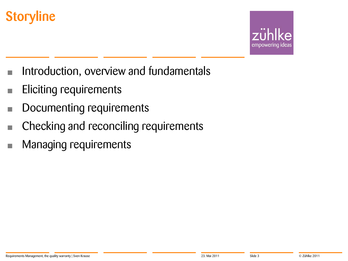### **Storyline**



- Introduction, overview and fundamentals
- Eliciting requirements
- **Documenting requirements**
- Checking and reconciling requirements
- Managing requirements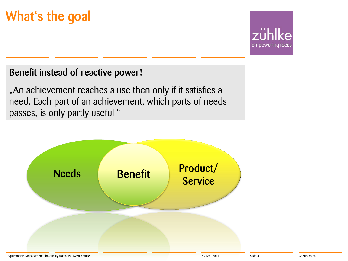### What's the goal



#### Benefit instead of reactive power!

"An achievement reaches a use then only if it satisfies a need. Each part of an achievement, which parts of needs passes, is only partly useful "

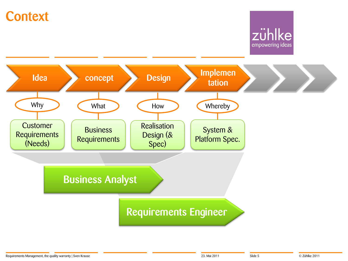#### **Context**

#### zühlke empowering ideas

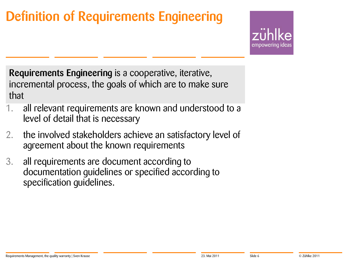### Definition of Requirements Engineering



Requirements Engineering is a cooperative, iterative, incremental process, the goals of which are to make sure that

- all relevant requirements are known and understood to a level of detail that is necessary
- 2. the involved stakeholders achieve an satisfactory level of agreement about the known requirements
- 3. all requirements are document according to documentation guidelines or specified according to specification guidelines.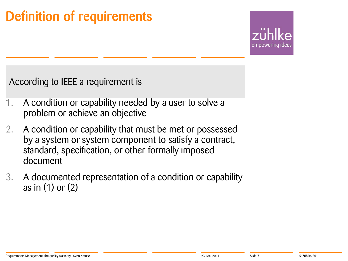### Definition of requirements

empowering

According to IEEE a requirement is

- 1. A condition or capability needed by a user to solve a problem or achieve an objective
- 2. A condition or capability that must be met or possessed by a system or system component to satisfy a contract, standard, specification, or other formally imposed document
- 3. A documented representation of a condition or capability as in (1) or (2)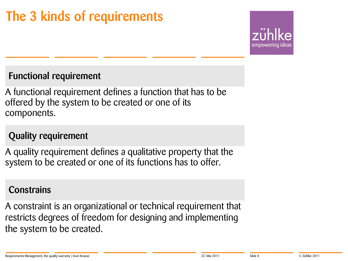## The 3 kinds of requirements



#### Functional requirement

A functional requirement defines a function that has to be offered by the system to be created or one of its components.

#### Quality requirement

A quality requirement defines a qualitative property that the system to be created or one of its functions has to offer.

#### **Constrains**

A constraint is an organizational or technical requirement that restricts degrees of freedom for designing and implementing the system to be created.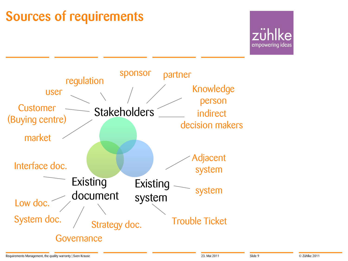### Sources of requirements



empowering ideas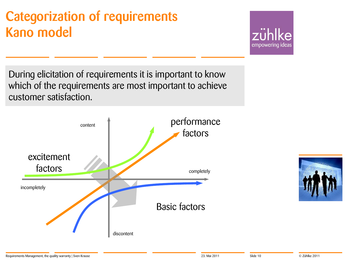### Categorization of requirements Kano model

zühlke empowering ideas

During elicitation of requirements it is important to know which of the requirements are most important to achieve customer satisfaction.



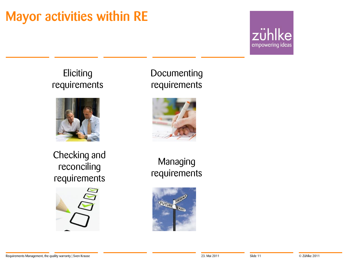#### Mayor activities within RE

zühlke empowering ideas

#### **Eliciting** requirements



#### **Documenting** requirements



Checking and reconciling requirements



Managing requirements

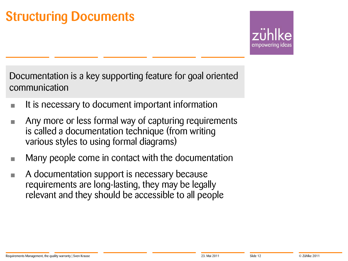#### Structuring Documents

empowering

Documentation is a key supporting feature for goal oriented communication

- **It is necessary to document important information**
- Any more or less formal way of capturing requirements is called a documentation technique (from writing various styles to using formal diagrams)
- Many people come in contact with the documentation
- A documentation support is necessary because requirements are long-lasting, they may be legally relevant and they should be accessible to all people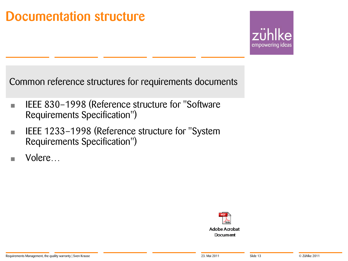#### Documentation structure

empowering ideas

Common reference structures for requirements documents

- **EXECU** IEEE 830-1998 (Reference structure for "Software Requirements Specification")
- **EXECUTE: IEEE 1233-1998 (Reference structure for "System** Requirements Specification")
- Volere…

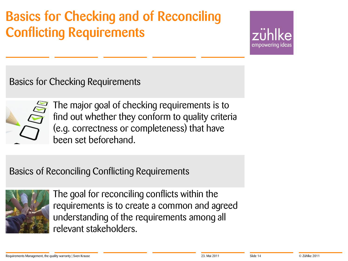### Basics for Checking and of Reconciling Conflicting Requirements

empowering

Basics for Checking Requirements



The major goal of checking requirements is to find out whether they conform to quality criteria (e.g. correctness or completeness) that have been set beforehand.

#### Basics of Reconciling Conflicting Requirements



The goal for reconciling conflicts within the requirements is to create a common and agreed understanding of the requirements among all relevant stakeholders.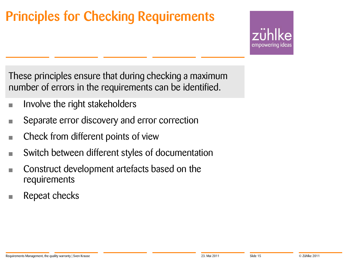### Principles for Checking Requirements

empowering

These principles ensure that during checking a maximum number of errors in the requirements can be identified.

- **Farm Involve the right stakeholders**
- **EXECUTE:** Separate error discovery and error correction
- **Check from different points of view**
- Switch between different styles of documentation
- **Construct development artefacts based on the** requirements
- $\blacksquare$  Repeat checks

#### Requirements Management, the quality warranty | Sven Krause **Example 2011** 23. Mai 2011 31. Mai 2011 Slide 15 Slide 15 Slide 15 Slide 16 2011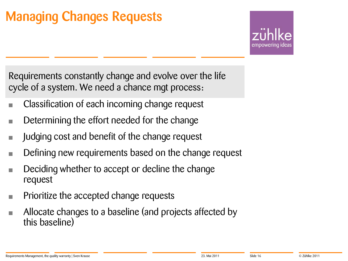### Managing Changes Requests

empowering

Requirements constantly change and evolve over the life cycle of a system. We need a chance mgt process:

- Classification of each incoming change request
- **Determining the effort needed for the change**
- **Judging cost and benefit of the change request**
- Defining new requirements based on the change request
- Deciding whether to accept or decline the change request
- **Prioritize the accepted change requests**
- Allocate changes to a baseline (and projects affected by this baseline)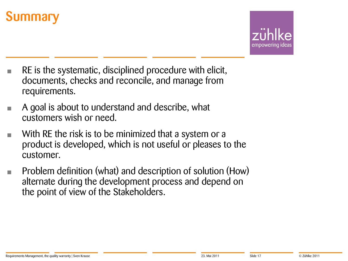### **Summary**

- RE is the systematic, disciplined procedure with elicit, documents, checks and reconcile, and manage from requirements.
- A goal is about to understand and describe, what customers wish or need.
- With RE the risk is to be minimized that a system or a product is developed, which is not useful or pleases to the customer.
- Problem definition (what) and description of solution (How) alternate during the development process and depend on the point of view of the Stakeholders.